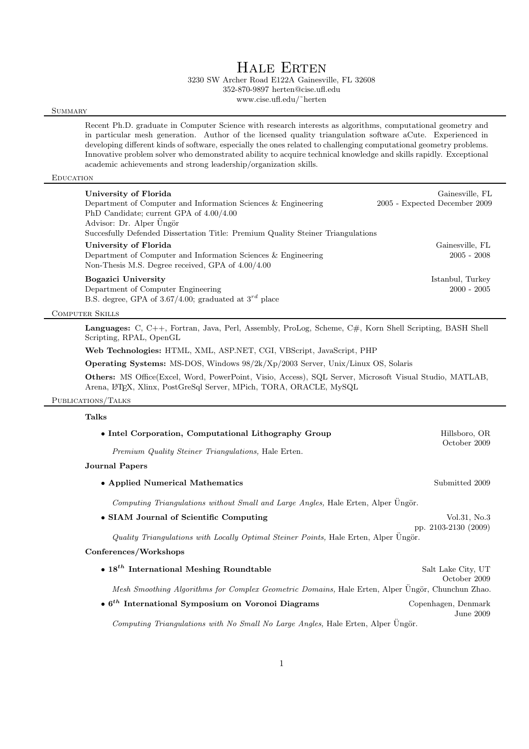3230 SW Archer Road E122A Gainesville, FL 32608 352-870-9897 herten@cise.ufl.edu

www.cise.ufl.edu/˜herten

### **SUMMARY**

Recent Ph.D. graduate in Computer Science with research interests as algorithms, computational geometry and in particular mesh generation. Author of the licensed quality triangulation software aCute. Experienced in developing different kinds of software, especially the ones related to challenging computational geometry problems. Innovative problem solver who demonstrated ability to acquire technical knowledge and skills rapidly. Exceptional academic achievements and strong leadership/organization skills.

### **EDUCATION**

| University of Florida<br>Department of Computer and Information Sciences & Engineering<br>PhD Candidate; current GPA of $4.00/4.00$           | Gainesville, FL<br>2005 - Expected December 2009 |
|-----------------------------------------------------------------------------------------------------------------------------------------------|--------------------------------------------------|
| Advisor: Dr. Alper Üngör<br>Succesfully Defended Dissertation Title: Premium Quality Steiner Triangulations                                   |                                                  |
| University of Florida<br>Department of Computer and Information Sciences & Engineering<br>Non-Thesis M.S. Degree received, GPA of $4.00/4.00$ | Gainesville, FL<br>$2005 - 2008$                 |
| Bogazici University<br>Department of Computer Engineering<br>B.S. degree, GPA of 3.67/4.00; graduated at $3^{rd}$ place                       | Istanbul, Turkey<br>$2000 - 2005$                |

Computer Skills

Languages: C, C++, Fortran, Java, Perl, Assembly, ProLog, Scheme, C#, Korn Shell Scripting, BASH Shell Scripting, RPAL, OpenGL

Web Technologies: HTML, XML, ASP.NET, CGI, VBScript, JavaScript, PHP

Operating Systems: MS-DOS, Windows 98/2k/Xp/2003 Server, Unix/Linux OS, Solaris

Others: MS Office(Excel, Word, PowerPoint, Visio, Access), SQL Server, Microsoft Visual Studio, MATLAB, Arena, L<sup>A</sup>TEX, Xlinx, PostGreSql Server, MPich, TORA, ORACLE, MySQL

### Publications/Talks

Talks

| • Intel Corporation, Computational Lithography Group                                             | Hillsboro, OR                        |  |
|--------------------------------------------------------------------------------------------------|--------------------------------------|--|
| Premium Quality Steiner Triangulations, Hale Erten.                                              | October 2009                         |  |
| Journal Papers                                                                                   |                                      |  |
| • Applied Numerical Mathematics                                                                  | Submitted 2009                       |  |
| Computing Triangulations without Small and Large Angles, Hale Erten, Alper Ungör.                |                                      |  |
| • SIAM Journal of Scientific Computing                                                           | Vol.31, No.3<br>pp. 2103-2130 (2009) |  |
| Quality Triangulations with Locally Optimal Steiner Points, Hale Erten, Alper Ungör.             |                                      |  |
| Conferences/Workshops                                                                            |                                      |  |
| $\bullet$ 18 <sup>th</sup> International Meshing Roundtable                                      | Salt Lake City, UT<br>October 2009   |  |
| Mesh Smoothing Algorithms for Complex Geometric Domains, Hale Erten, Alper Ungör, Chunchun Zhao. |                                      |  |
| $\bullet$ 6 <sup>th</sup> International Symposium on Voronoi Diagrams                            | Copenhagen, Denmark<br>June 2009     |  |
| Computing Triangulations with No Small No Large Angles, Hale Erten, Alper Ungör.                 |                                      |  |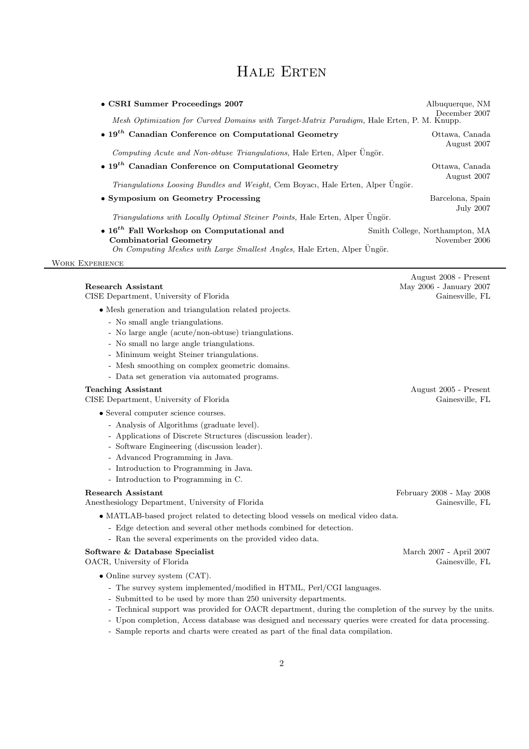| • CSRI Summer Proceedings 2007<br>Mesh Optimization for Curved Domains with Target-Matrix Paradigm, Hale Erten, P. M. Knupp.                                                                                                                                                                                                                 | Albuquerque, NM<br>December 2007                                    |
|----------------------------------------------------------------------------------------------------------------------------------------------------------------------------------------------------------------------------------------------------------------------------------------------------------------------------------------------|---------------------------------------------------------------------|
| $\bullet$ 19 <sup>th</sup> Canadian Conference on Computational Geometry<br>Computing Acute and Non-obtuse Triangulations, Hale Erten, Alper Ungör.                                                                                                                                                                                          | Ottawa, Canada<br>August 2007                                       |
| $\bullet$ 19 <sup>th</sup> Canadian Conference on Computational Geometry                                                                                                                                                                                                                                                                     | Ottawa, Canada<br>August 2007                                       |
| Triangulations Loosing Bundles and Weight, Cem Boyacı, Hale Erten, Alper Üngör.                                                                                                                                                                                                                                                              |                                                                     |
| • Symposium on Geometry Processing                                                                                                                                                                                                                                                                                                           | Barcelona, Spain<br><b>July 2007</b>                                |
| Triangulations with Locally Optimal Steiner Points, Hale Erten, Alper Ungör.                                                                                                                                                                                                                                                                 |                                                                     |
| $\bullet$ 16 <sup>th</sup> Fall Workshop on Computational and<br><b>Combinatorial Geometry</b>                                                                                                                                                                                                                                               | Smith College, Northampton, MA<br>November 2006                     |
| On Computing Meshes with Large Smallest Angles, Hale Erten, Alper Üngör.                                                                                                                                                                                                                                                                     |                                                                     |
| <b>WORK EXPERIENCE</b>                                                                                                                                                                                                                                                                                                                       |                                                                     |
| <b>Research Assistant</b><br>CISE Department, University of Florida                                                                                                                                                                                                                                                                          | August 2008 - Present<br>May 2006 - January 2007<br>Gainesville, FL |
| • Mesh generation and triangulation related projects.<br>- No small angle triangulations.<br>- No large angle (acute/non-obtuse) triangulations.<br>- No small no large angle triangulations.<br>- Minimum weight Steiner triangulations.<br>- Mesh smoothing on complex geometric domains.<br>- Data set generation via automated programs. |                                                                     |
| <b>Teaching Assistant</b><br>CISE Department, University of Florida                                                                                                                                                                                                                                                                          | August 2005 - Present<br>Gainesville, FL                            |
| • Several computer science courses.<br>- Analysis of Algorithms (graduate level).<br>- Applications of Discrete Structures (discussion leader).<br>- Software Engineering (discussion leader).<br>- Advanced Programming in Java.<br>- Introduction to Programming in Java.<br>- Introduction to Programming in C.                           |                                                                     |
| <b>Research Assistant</b><br>Anesthesiology Department, University of Florida                                                                                                                                                                                                                                                                | February 2008 - May 2008<br>Gainesville, FL                         |
| • MATLAB-based project related to detecting blood vessels on medical video data.<br>- Edge detection and several other methods combined for detection.                                                                                                                                                                                       |                                                                     |

- Ran the several experiments on the provided video data.

### Software & Database Specialist March 2007 - April 2007

OACR, University of Florida Gainesville, FL

- Online survey system (CAT).
	- The survey system implemented/modified in HTML, Perl/CGI languages.
	- Submitted to be used by more than 250 university departments.
	- Technical support was provided for OACR department, during the completion of the survey by the units.
	- Upon completion, Access database was designed and necessary queries were created for data processing.
	- Sample reports and charts were created as part of the final data compilation.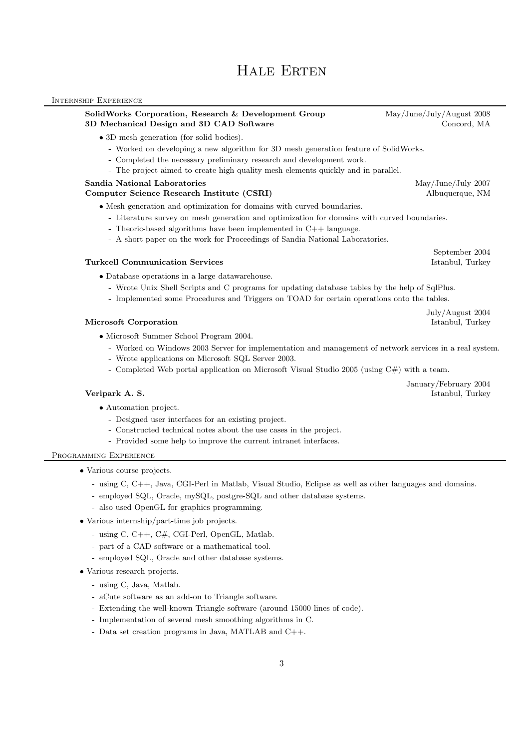### Internship Experience

### SolidWorks Corporation, Research & Development Group May/June/July/August 2008 3D Mechanical Design and 3D CAD Software Concord, MA

- 3D mesh generation (for solid bodies).
	- Worked on developing a new algorithm for 3D mesh generation feature of SolidWorks.
	- Completed the necessary preliminary research and development work.
	- The project aimed to create high quality mesh elements quickly and in parallel.

### Sandia National Laboratories May/June/July 2007

### Computer Science Research Institute (CSRI) Albuquerque, NM

- Mesh generation and optimization for domains with curved boundaries.
	- Literature survey on mesh generation and optimization for domains with curved boundaries.
	- Theoric-based algorithms have been implemented in C++ language.
	- A short paper on the work for Proceedings of Sandia National Laboratories.

### **Turkcell Communication Services Istanbul, Turkey** Istanbul, Turkey

- Database operations in a large datawarehouse.
	- Wrote Unix Shell Scripts and C programs for updating database tables by the help of SqlPlus.
	- Implemented some Procedures and Triggers on TOAD for certain operations onto the tables.

### Microsoft Corporation **Istanbul, Turkey**

- Microsoft Summer School Program 2004.
	- Worked on Windows 2003 Server for implementation and management of network services in a real system.
	- Wrote applications on Microsoft SQL Server 2003.
	- Completed Web portal application on Microsoft Visual Studio 2005 (using C#) with a team.

- Automation project.
	- Designed user interfaces for an existing project.
	- Constructed technical notes about the use cases in the project.
	- Provided some help to improve the current intranet interfaces.

### Programming Experience

- Various course projects.
	- using C, C++, Java, CGI-Perl in Matlab, Visual Studio, Eclipse as well as other languages and domains.
	- employed SQL, Oracle, mySQL, postgre-SQL and other database systems.
	- also used OpenGL for graphics programming.
- Various internship/part-time job projects.
	- using C, C++, C#, CGI-Perl, OpenGL, Matlab.
	- part of a CAD software or a mathematical tool.
	- employed SQL, Oracle and other database systems.
- Various research projects.
	- using C, Java, Matlab.
	- aCute software as an add-on to Triangle software.
	- Extending the well-known Triangle software (around 15000 lines of code).
	- Implementation of several mesh smoothing algorithms in C.
	- Data set creation programs in Java, MATLAB and C++.

September 2004

January/February 2004 **Veripark A. S.** Istanbul, Turkey

July/August 2004

3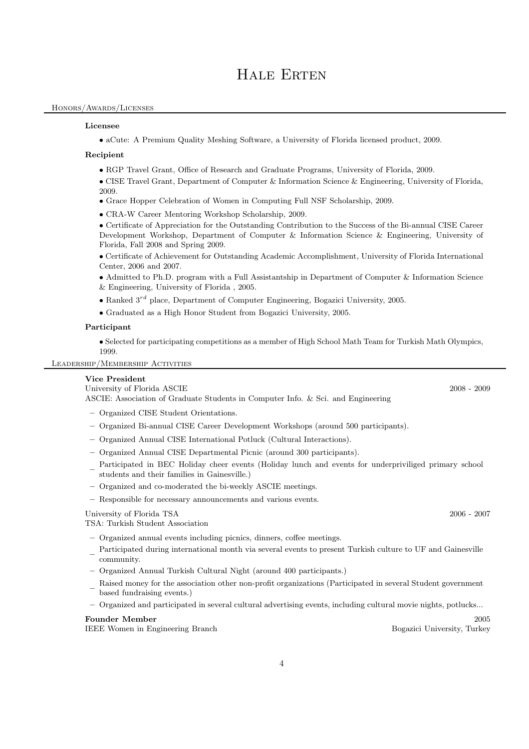### Honors/Awards/Licenses

### Licensee

• aCute: A Premium Quality Meshing Software, a University of Florida licensed product, 2009.

### Recipient

- RGP Travel Grant, Office of Research and Graduate Programs, University of Florida, 2009.
- CISE Travel Grant, Department of Computer & Information Science & Engineering, University of Florida, 2009.
- Grace Hopper Celebration of Women in Computing Full NSF Scholarship, 2009.
- CRA-W Career Mentoring Workshop Scholarship, 2009.

• Certificate of Appreciation for the Outstanding Contribution to the Success of the Bi-annual CISE Career Development Workshop, Department of Computer & Information Science & Engineering, University of Florida, Fall 2008 and Spring 2009.

• Certificate of Achievement for Outstanding Academic Accomplishment, University of Florida International Center, 2006 and 2007.

- Admitted to Ph.D. program with a Full Assistantship in Department of Computer & Information Science & Engineering, University of Florida , 2005.
- Ranked  $3^{rd}$  place, Department of Computer Engineering, Bogazici University, 2005.
- Graduated as a High Honor Student from Bogazici University, 2005.

### Participant

• Selected for participating competitions as a member of High School Math Team for Turkish Math Olympics, 1999.

Leadership/Membership Activities

### Vice President

University of Florida ASCIE 2008 - 2009 ASCIE: Association of Graduate Students in Computer Info. & Sci. and Engineering

- Organized CISE Student Orientations.
- Organized Bi-annual CISE Career Development Workshops (around 500 participants).
- Organized Annual CISE International Potluck (Cultural Interactions).
- Organized Annual CISE Departmental Picnic (around 300 participants).
- Participated in BEC Holiday cheer events (Holiday lunch and events for underpriviliged primary school students and their families in Gainesville.)
- Organized and co-moderated the bi-weekly ASCIE meetings.
- Responsible for necessary announcements and various events.

### University of Florida TSA 2006 - 2007

TSA: Turkish Student Association

- Organized annual events including picnics, dinners, coffee meetings.
- Participated during international month via several events to present Turkish culture to UF and Gainesville community.
- Organized Annual Turkish Cultural Night (around 400 participants.)
- Raised money for the association other non-profit organizations (Participated in several Student government based fundraising events.)
- Organized and participated in several cultural advertising events, including cultural movie nights, potlucks...

### Founder Member 2005

IEEE Women in Engineering Branch Bogazici University, Turkey